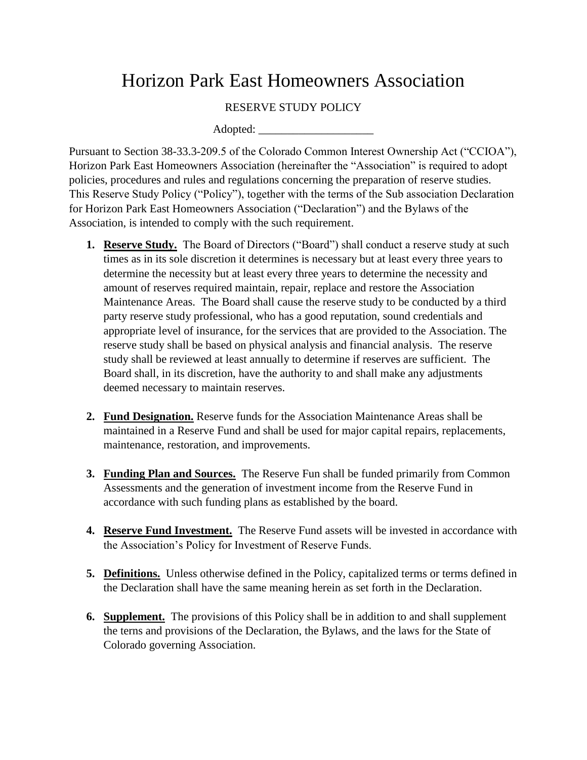## Horizon Park East Homeowners Association

## RESERVE STUDY POLICY

Adopted:

Pursuant to Section 38-33.3-209.5 of the Colorado Common Interest Ownership Act ("CCIOA"), Horizon Park East Homeowners Association (hereinafter the "Association" is required to adopt policies, procedures and rules and regulations concerning the preparation of reserve studies. This Reserve Study Policy ("Policy"), together with the terms of the Sub association Declaration for Horizon Park East Homeowners Association ("Declaration") and the Bylaws of the Association, is intended to comply with the such requirement.

- **1. Reserve Study.** The Board of Directors ("Board") shall conduct a reserve study at such times as in its sole discretion it determines is necessary but at least every three years to determine the necessity but at least every three years to determine the necessity and amount of reserves required maintain, repair, replace and restore the Association Maintenance Areas. The Board shall cause the reserve study to be conducted by a third party reserve study professional, who has a good reputation, sound credentials and appropriate level of insurance, for the services that are provided to the Association. The reserve study shall be based on physical analysis and financial analysis. The reserve study shall be reviewed at least annually to determine if reserves are sufficient. The Board shall, in its discretion, have the authority to and shall make any adjustments deemed necessary to maintain reserves.
- **2. Fund Designation.** Reserve funds for the Association Maintenance Areas shall be maintained in a Reserve Fund and shall be used for major capital repairs, replacements, maintenance, restoration, and improvements.
- **3. Funding Plan and Sources.** The Reserve Fun shall be funded primarily from Common Assessments and the generation of investment income from the Reserve Fund in accordance with such funding plans as established by the board.
- **4. Reserve Fund Investment.** The Reserve Fund assets will be invested in accordance with the Association's Policy for Investment of Reserve Funds.
- **5. Definitions.** Unless otherwise defined in the Policy, capitalized terms or terms defined in the Declaration shall have the same meaning herein as set forth in the Declaration.
- **6. Supplement.** The provisions of this Policy shall be in addition to and shall supplement the terns and provisions of the Declaration, the Bylaws, and the laws for the State of Colorado governing Association.